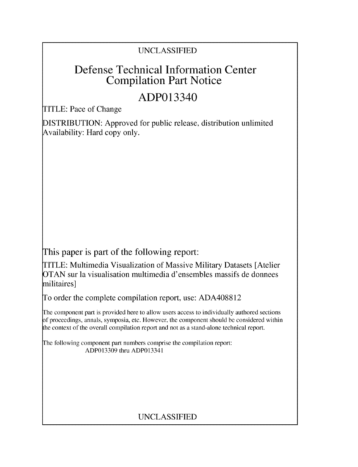## UNCLASSIFIED

## Defense Technical Information Center Compilation Part Notice

# ADP013340

TITLE: Pace of Change

DISTRIBUTION: Approved for public release, distribution unlimited Availability: Hard copy only.

This paper is part of the following report:

TITLE: Multimedia Visualization of Massive Military Datasets [Atelier OTAN sur la visualisation multimedia d'ensembles massifs de donnees militaires]

To order the complete compilation report, use: ADA408812

The component part is provided here to allow users access to individually authored sections **)f** proceedings, annals, symposia, etc. However, the component should be considered within [he context of the overall compilation report and not as a stand-alone technical report.

The following component part numbers comprise the compilation report: ADP013309 thru ADP013341

## UNCLASSIFIED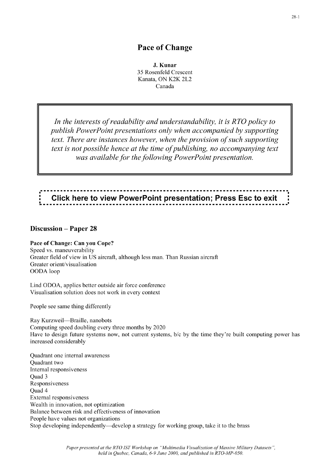#### Pace of Change

**J.** Kunar 35 Rosenfeld Crescent Kanata, ON K2K 2L2 Canada

*In the interests of readability and understandability, it is R TO policy to publish PowerPoint presentations only when accompanied by supporting text. There are instances however, when the provision of such supporting text is not possible hence at the time of publishing, no accompanying text was available for the following PowerPoint presentation.*

# Click here to view PowerPoint presentation; Press Esc to exit

#### Discussion - Paper **28**

#### Pace of Change: Can you Cope?

Speed vs. maneuverability Greater field of view in US aircraft, although less man. Than Russian aircraft Greater orient/visualisation OODA loop

Lind ODOA, applies better outside air force conference Visualisation solution does not work in every context

People see same thing differently

Ray Kurzweil-Braille, nanobots Computing speed doubling every three months by 2020 Have to design future systems now, not current systems, b/c by the time they're built computing power has increased considerably

Quadrant one internal awareness Quadrant two Internal responsiveness Quad 3 Responsiveness Quad 4 External responsiveness Wealth in innovation, not optimization Balance between risk and effectiveness of innovation People have values not organizations Stop developing independently-develop a strategy for working group, take it to the brass